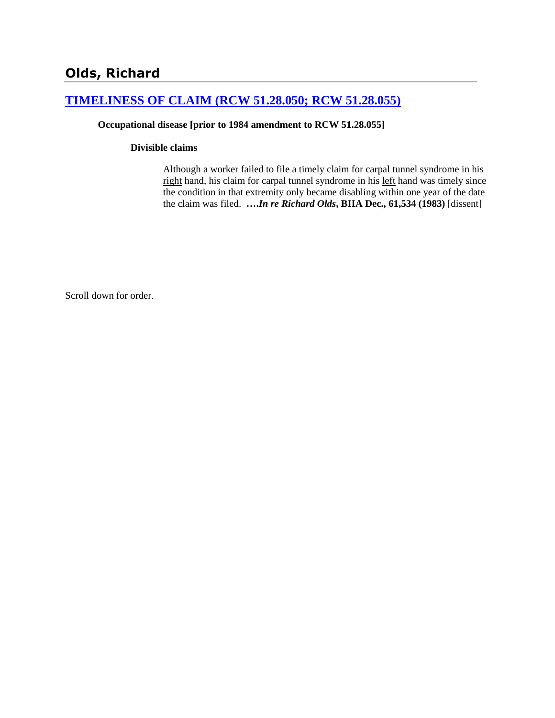# **[TIMELINESS OF CLAIM \(RCW 51.28.050; RCW 51.28.055\)](http://www.biia.wa.gov/SDSubjectIndex.html#TIMELINESS_OF_CLAIM)**

### **Occupational disease [prior to 1984 amendment to RCW 51.28.055]**

### **Divisible claims**

Although a worker failed to file a timely claim for carpal tunnel syndrome in his right hand, his claim for carpal tunnel syndrome in his left hand was timely since the condition in that extremity only became disabling within one year of the date the claim was filed. **….***In re Richard Olds***, BIIA Dec., 61,534 (1983)** [dissent]

Scroll down for order.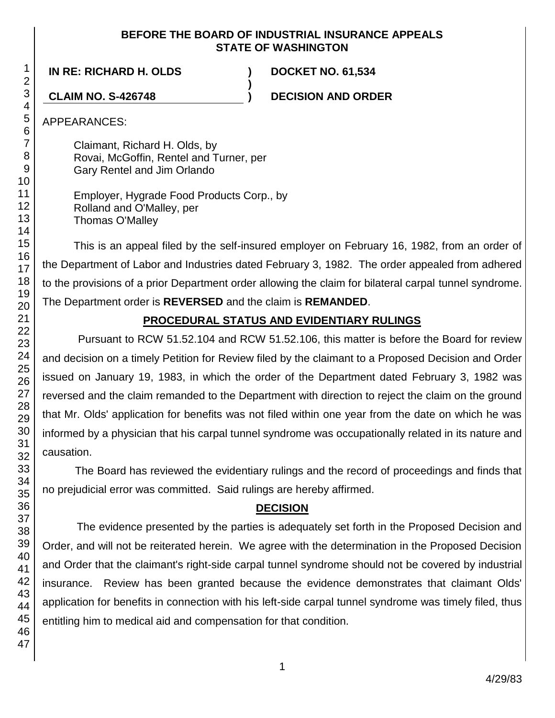## **BEFORE THE BOARD OF INDUSTRIAL INSURANCE APPEALS STATE OF WASHINGTON**

**)**

**IN RE: RICHARD H. OLDS ) DOCKET NO. 61,534**

**CLAIM NO. S-426748 ) DECISION AND ORDER**

APPEARANCES:

Claimant, Richard H. Olds, by Rovai, McGoffin, Rentel and Turner, per Gary Rentel and Jim Orlando

Employer, Hygrade Food Products Corp., by Rolland and O'Malley, per Thomas O'Malley

This is an appeal filed by the self-insured employer on February 16, 1982, from an order of the Department of Labor and Industries dated February 3, 1982. The order appealed from adhered to the provisions of a prior Department order allowing the claim for bilateral carpal tunnel syndrome. The Department order is **REVERSED** and the claim is **REMANDED**.

# **PROCEDURAL STATUS AND EVIDENTIARY RULINGS**

Pursuant to RCW 51.52.104 and RCW 51.52.106, this matter is before the Board for review and decision on a timely Petition for Review filed by the claimant to a Proposed Decision and Order issued on January 19, 1983, in which the order of the Department dated February 3, 1982 was reversed and the claim remanded to the Department with direction to reject the claim on the ground that Mr. Olds' application for benefits was not filed within one year from the date on which he was informed by a physician that his carpal tunnel syndrome was occupationally related in its nature and causation.

The Board has reviewed the evidentiary rulings and the record of proceedings and finds that no prejudicial error was committed. Said rulings are hereby affirmed.

# **DECISION**

The evidence presented by the parties is adequately set forth in the Proposed Decision and Order, and will not be reiterated herein. We agree with the determination in the Proposed Decision and Order that the claimant's right-side carpal tunnel syndrome should not be covered by industrial insurance. Review has been granted because the evidence demonstrates that claimant Olds' application for benefits in connection with his left-side carpal tunnel syndrome was timely filed, thus entitling him to medical aid and compensation for that condition.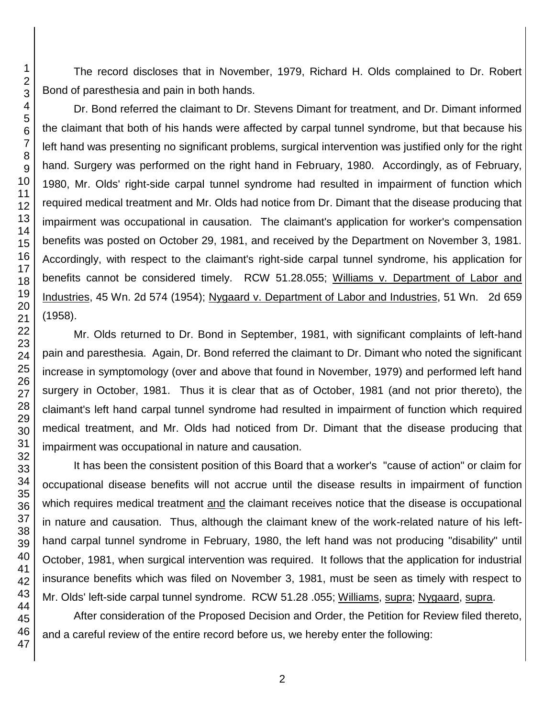The record discloses that in November, 1979, Richard H. Olds complained to Dr. Robert Bond of paresthesia and pain in both hands.

Dr. Bond referred the claimant to Dr. Stevens Dimant for treatment, and Dr. Dimant informed the claimant that both of his hands were affected by carpal tunnel syndrome, but that because his left hand was presenting no significant problems, surgical intervention was justified only for the right hand. Surgery was performed on the right hand in February, 1980. Accordingly, as of February, 1980, Mr. Olds' right-side carpal tunnel syndrome had resulted in impairment of function which required medical treatment and Mr. Olds had notice from Dr. Dimant that the disease producing that impairment was occupational in causation. The claimant's application for worker's compensation benefits was posted on October 29, 1981, and received by the Department on November 3, 1981. Accordingly, with respect to the claimant's right-side carpal tunnel syndrome, his application for benefits cannot be considered timely. RCW 51.28.055; Williams v. Department of Labor and Industries, 45 Wn. 2d 574 (1954); Nygaard v. Department of Labor and Industries, 51 Wn. 2d 659 (1958).

Mr. Olds returned to Dr. Bond in September, 1981, with significant complaints of left-hand pain and paresthesia. Again, Dr. Bond referred the claimant to Dr. Dimant who noted the significant increase in symptomology (over and above that found in November, 1979) and performed left hand surgery in October, 1981. Thus it is clear that as of October, 1981 (and not prior thereto), the claimant's left hand carpal tunnel syndrome had resulted in impairment of function which required medical treatment, and Mr. Olds had noticed from Dr. Dimant that the disease producing that impairment was occupational in nature and causation.

It has been the consistent position of this Board that a worker's "cause of action" or claim for occupational disease benefits will not accrue until the disease results in impairment of function which requires medical treatment and the claimant receives notice that the disease is occupational in nature and causation. Thus, although the claimant knew of the work-related nature of his lefthand carpal tunnel syndrome in February, 1980, the left hand was not producing "disability" until October, 1981, when surgical intervention was required. It follows that the application for industrial insurance benefits which was filed on November 3, 1981, must be seen as timely with respect to Mr. Olds' left-side carpal tunnel syndrome. RCW 51.28 .055; Williams, supra; Nygaard, supra.

After consideration of the Proposed Decision and Order, the Petition for Review filed thereto, and a careful review of the entire record before us, we hereby enter the following: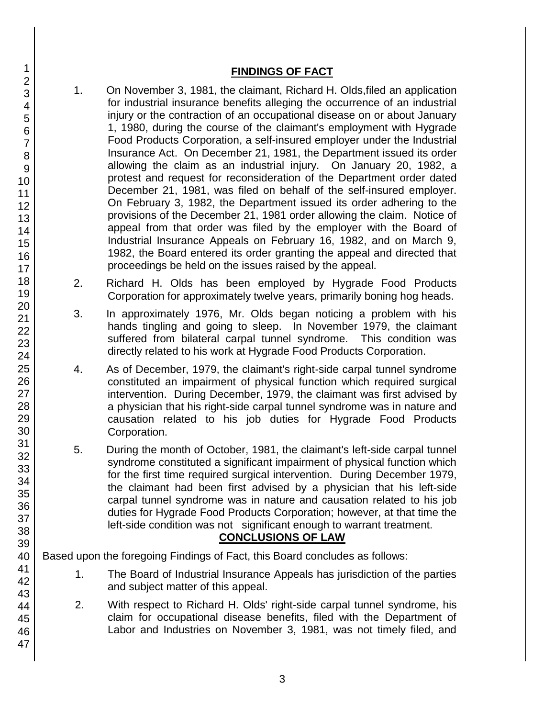## **FINDINGS OF FACT**

- 1. On November 3, 1981, the claimant, Richard H. Olds,filed an application for industrial insurance benefits alleging the occurrence of an industrial injury or the contraction of an occupational disease on or about January 1, 1980, during the course of the claimant's employment with Hygrade Food Products Corporation, a self-insured employer under the Industrial Insurance Act. On December 21, 1981, the Department issued its order allowing the claim as an industrial injury. On January 20, 1982, a protest and request for reconsideration of the Department order dated December 21, 1981, was filed on behalf of the self-insured employer. On February 3, 1982, the Department issued its order adhering to the provisions of the December 21, 1981 order allowing the claim. Notice of appeal from that order was filed by the employer with the Board of Industrial Insurance Appeals on February 16, 1982, and on March 9, 1982, the Board entered its order granting the appeal and directed that proceedings be held on the issues raised by the appeal.
- 2. Richard H. Olds has been employed by Hygrade Food Products Corporation for approximately twelve years, primarily boning hog heads.
- 3. In approximately 1976, Mr. Olds began noticing a problem with his hands tingling and going to sleep. In November 1979, the claimant suffered from bilateral carpal tunnel syndrome. This condition was directly related to his work at Hygrade Food Products Corporation.
- 4. As of December, 1979, the claimant's right-side carpal tunnel syndrome constituted an impairment of physical function which required surgical intervention. During December, 1979, the claimant was first advised by a physician that his right-side carpal tunnel syndrome was in nature and causation related to his job duties for Hygrade Food Products Corporation.
- 5. During the month of October, 1981, the claimant's left-side carpal tunnel syndrome constituted a significant impairment of physical function which for the first time required surgical intervention. During December 1979, the claimant had been first advised by a physician that his left-side carpal tunnel syndrome was in nature and causation related to his job duties for Hygrade Food Products Corporation; however, at that time the left-side condition was not significant enough to warrant treatment.

# **CONCLUSIONS OF LAW**

Based upon the foregoing Findings of Fact, this Board concludes as follows:

- 1. The Board of Industrial Insurance Appeals has jurisdiction of the parties and subject matter of this appeal.
- 2. With respect to Richard H. Olds' right-side carpal tunnel syndrome, his claim for occupational disease benefits, filed with the Department of Labor and Industries on November 3, 1981, was not timely filed, and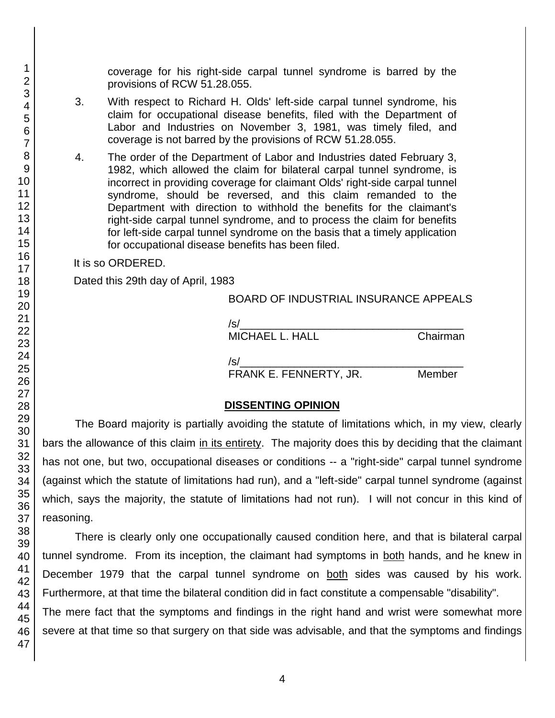coverage for his right-side carpal tunnel syndrome is barred by the provisions of RCW 51.28.055.

- 3. With respect to Richard H. Olds' left-side carpal tunnel syndrome, his claim for occupational disease benefits, filed with the Department of Labor and Industries on November 3, 1981, was timely filed, and coverage is not barred by the provisions of RCW 51.28.055.
- 4. The order of the Department of Labor and Industries dated February 3, 1982, which allowed the claim for bilateral carpal tunnel syndrome, is incorrect in providing coverage for claimant Olds' right-side carpal tunnel syndrome, should be reversed, and this claim remanded to the Department with direction to withhold the benefits for the claimant's right-side carpal tunnel syndrome, and to process the claim for benefits for left-side carpal tunnel syndrome on the basis that a timely application for occupational disease benefits has been filed.

It is so ORDERED.

Dated this 29th day of April, 1983

## BOARD OF INDUSTRIAL INSURANCE APPEALS

| /s/                    |          |
|------------------------|----------|
| <b>MICHAEL L. HALL</b> | Chairman |
| /s/                    |          |
| FRANK E. FENNERTY, JR. | Member   |

## **DISSENTING OPINION**

The Board majority is partially avoiding the statute of limitations which, in my view, clearly bars the allowance of this claim in its entirety. The majority does this by deciding that the claimant has not one, but two, occupational diseases or conditions -- a "right-side" carpal tunnel syndrome (against which the statute of limitations had run), and a "left-side" carpal tunnel syndrome (against which, says the majority, the statute of limitations had not run). I will not concur in this kind of reasoning.

There is clearly only one occupationally caused condition here, and that is bilateral carpal tunnel syndrome. From its inception, the claimant had symptoms in both hands, and he knew in December 1979 that the carpal tunnel syndrome on both sides was caused by his work. Furthermore, at that time the bilateral condition did in fact constitute a compensable "disability".

The mere fact that the symptoms and findings in the right hand and wrist were somewhat more severe at that time so that surgery on that side was advisable, and that the symptoms and findings

1